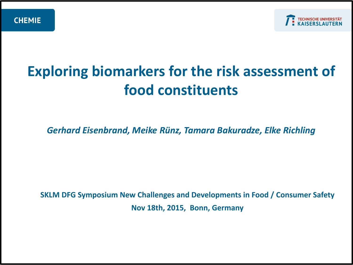

# **Exploring biomarkers for the risk assessment of food constituents**

*Gerhard Eisenbrand, Meike Rünz, Tamara Bakuradze, Elke Richling*

**SKLM DFG Symposium New Challenges and Developments in Food / Consumer Safety Nov 18th, 2015, Bonn, Germany**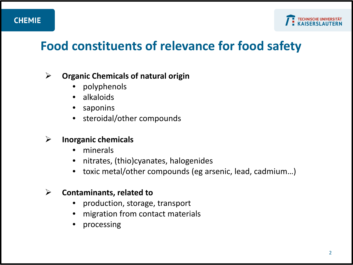

## **Food constituents of relevance for food safety**

#### **Organic Chemicals of natural origin**

- polyphenols
- alkaloids
- **saponins**
- steroidal/other compounds

#### **Inorganic chemicals**

- minerals
- nitrates, (thio)cyanates, halogenides
- toxic metal/other compounds (eg arsenic, lead, cadmium…)

#### **Contaminants, related to**

- production, storage, transport
- migration from contact materials
- processing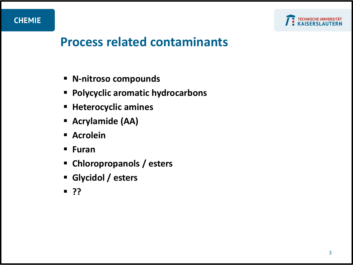

## **Process related contaminants**

- **N-nitroso compounds**
- **Polycyclic aromatic hydrocarbons**
- **Heterocyclic amines**
- **Acrylamide (AA)**
- **Acrolein**
- **Furan**
- **Chloropropanols / esters**
- **Glycidol / esters**
- **??**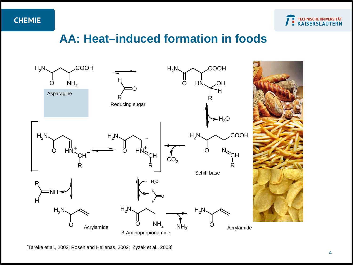

### **AA: Heat–induced formation in foods**



[Tareke et al., 2002; Rosen and Hellenas, 2002; Zyzak et al., 2003]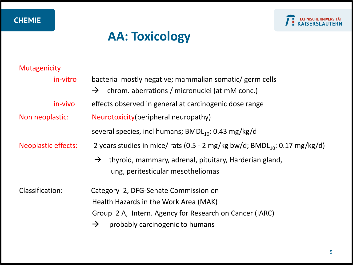

## **AA: Toxicology**

## Mutagenicity

| in-vitro                   | bacteria mostly negative; mammalian somatic/ germ cells                                                       |  |  |  |
|----------------------------|---------------------------------------------------------------------------------------------------------------|--|--|--|
|                            | $\rightarrow$ chrom. aberrations / micronuclei (at mM conc.)                                                  |  |  |  |
| in-vivo                    | effects observed in general at carcinogenic dose range                                                        |  |  |  |
| Non neoplastic:            | Neurotoxicity (peripheral neuropathy)                                                                         |  |  |  |
|                            | several species, incl humans; $BMDL_{10}$ : 0.43 mg/kg/d                                                      |  |  |  |
| <b>Neoplastic effects:</b> | 2 years studies in mice/ rats (0.5 - 2 mg/kg bw/d; $BMDL_{10}$ : 0.17 mg/kg/d)                                |  |  |  |
|                            | thyroid, mammary, adrenal, pituitary, Harderian gland,<br>$\rightarrow$<br>lung, peritesticular mesotheliomas |  |  |  |
| Classification:            | Category 2, DFG-Senate Commission on                                                                          |  |  |  |
|                            | Health Hazards in the Work Area (MAK)                                                                         |  |  |  |
|                            | Group 2 A, Intern. Agency for Research on Cancer (IARC)                                                       |  |  |  |
|                            | probably carcinogenic to humans<br>$\rightarrow$                                                              |  |  |  |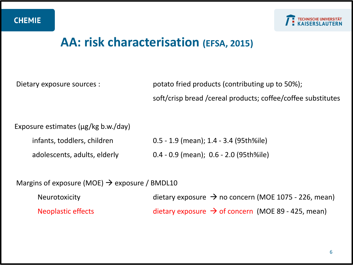

## **AA: risk characterisation (EFSA, 2015)**

Dietary exposure sources : potato fried products (contributing up to 50%); soft/crisp bread /cereal products; coffee/coffee substitutes

Exposure estimates (µg/kg b.w./day)

infants, toddlers, children 0.5 - 1.9 (mean); 1.4 - 3.4 (95th%ile)

adolescents, adults, elderly 0.4 - 0.9 (mean); 0.6 - 2.0 (95th%ile)

Margins of exposure (MOE)  $\rightarrow$  exposure / BMDL10

Neurotoxicity dietary exposure  $\rightarrow$  no concern (MOE 1075 - 226, mean) Neoplastic effects dietary exposure  $\rightarrow$  of concern (MOE 89 - 425, mean)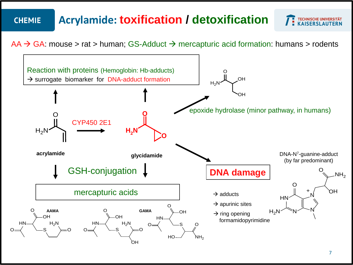#### **Acrylamide: toxification / detoxification CHEMIE**

**TECHNISCHE UNIVERSITÄT<br>KAISERSLAUTERN** 

 $AA \rightarrow GA$ : mouse > rat > human; GS-Adduct  $\rightarrow$  mercapturic acid formation: humans > rodents

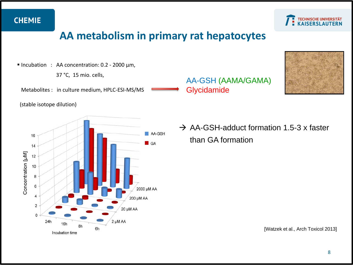

### **AA metabolism in primary rat hepatocytes**

■ Incubation : AA concentration: 0.2 - 2000 µm,

37 °C, 15 mio. cells,

Metabolites : in culture medium, HPLC-ESI-MS/MS

(stable isotope dilution)



AA-GSH (AAMA/GAMA) **Glycidamide** 



 $\rightarrow$  AA-GSH-adduct formation 1.5-3 x faster than GA formation

[Watzek et al., Arch Toxicol 2013]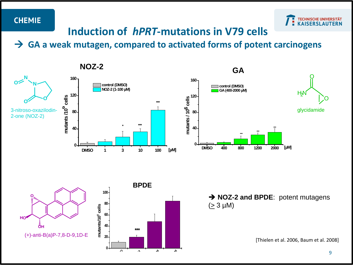**O**

**HO**

 $\bar{\bar{\delta}}$ н



### **Induction of** *hPRT***-mutations in V79 cells**

 **GA a weak mutagen, compared to activated forms of potent carcinogens**





**→ NOZ-2 and BPDE:** potent mutagens  $( \geq 3 \mu M)$ 

[Thielen et al. 2006, Baum et al. 2008]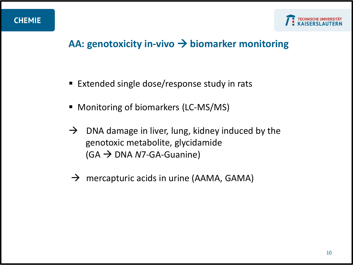

### **AA: genotoxicity in-vivo biomarker monitoring**

- Extended single dose/response study in rats
- Monitoring of biomarkers (LC-MS/MS)
- $\rightarrow$  DNA damage in liver, lung, kidney induced by the genotoxic metabolite, glycidamide  $(GA \rightarrow DNA$  *N*7-GA-Guanine)
- $\rightarrow$  mercapturic acids in urine (AAMA, GAMA)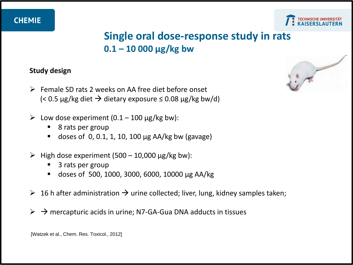

### **Single oral dose-response study in rats 0.1 – 10 000 µg/kg bw**

#### **Study design**

- $\triangleright$  Female SD rats 2 weeks on AA free diet before onset  $\approx$  0.5 µg/kg diet  $\rightarrow$  dietary exposure  $\leq$  0.08 µg/kg bw/d)
- $\geq$  Low dose experiment (0.1 100 µg/kg bw):
	- 8 rats per group
	- doses of 0, 0.1, 1, 10, 100 µg AA/kg bw (gavage)
- $\triangleright$  High dose experiment (500 10,000 µg/kg bw):
	- 3 rats per group
	- doses of 500, 1000, 3000, 6000, 10000 µg AA/kg
- $\triangleright$  16 h after administration  $\rightarrow$  urine collected; liver, lung, kidney samples taken;
- $\triangleright \rightarrow$  mercapturic acids in urine; N7-GA-Gua DNA adducts in tissues



[Watzek et al., Chem. Res. Toxicol., 2012]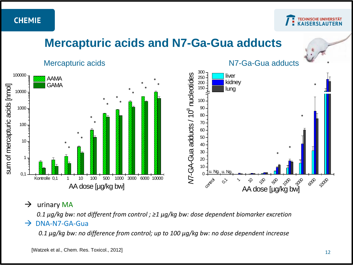**TECHNISCHE UNIVERSITÄT<br>KAISERSLAUTERN** 

## **Mercapturic acids and N7-Ga-Gua adducts**





 $\rightarrow$  urinary MA

*0.1 µg/kg bw: not different from control ; ≥1 µg/kg bw: dose dependent biomarker excretion*

#### $\rightarrow$  DNA-N7-GA-Gua

*0.1 µg/kg bw: no difference from control; up to 100 µg/kg bw: no dose dependent increase*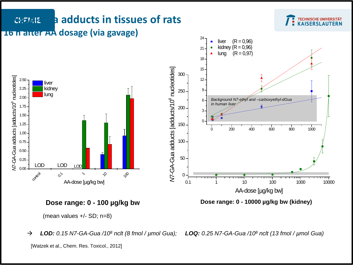

*LOD: 0.15 N7-GA-Gua /108 nclt (8 fmol / µmol Gua); LOQ: 0.25 N7-GA-Gua /108 nclt (13 fmol / µmol Gua)*

<sup>[</sup>Watzek et al., Chem. Res. Toxicol., 2012]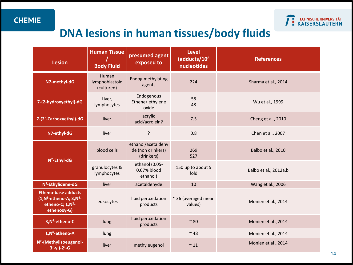

## **DNA lesions in human tissues/body fluids**

| <b>Lesion</b>                                                                                                | <b>Human Tissue</b><br><b>Body Fluid</b> | presumed agent<br>exposed to                          | <b>Level</b><br>(adducts/108<br>nucleotides | <b>References</b>     |
|--------------------------------------------------------------------------------------------------------------|------------------------------------------|-------------------------------------------------------|---------------------------------------------|-----------------------|
| N7-methyl-dG                                                                                                 | Human<br>lymphoblastoid<br>(cultured)    | Endog.methylating<br>agents                           | 224                                         | Sharma et al., 2014   |
| 7-(2-hydroxyethyl)-dG                                                                                        | Liver,<br>lymphocytes                    | Endogenous<br>Ethene/ ethylene<br>oxide               | 58<br>48                                    | Wu et al., 1999       |
| 7-(2'-Carboxyethyl)-dG                                                                                       | liver                                    | acrylic<br>acid/acrolein?                             | 7.5                                         | Cheng et al., 2010    |
| N7-ethyl-dG                                                                                                  | liver                                    | $\mathbf{?}$                                          | 0.8                                         | Chen et al., 2007     |
| N <sup>2</sup> -Ethyl-dG                                                                                     | blood cells                              | ethanol/acetaldehy<br>de (non drinkers)<br>(drinkers) | 269<br>527                                  | Balbo et al., 2010    |
|                                                                                                              | granulocytes &<br>lymphocytes            | ethanol (0.05-<br>0.07% blood<br>ethanol)             | 150 up to about 5<br>fold                   | Balbo et al., 2012a,b |
| N <sup>2</sup> -Ethylidene-dG                                                                                | liver                                    | acetaldehyde                                          | 10                                          | Wang et al., 2006     |
| <b>Etheno-base adducts</b><br>$(1, N^6$ -etheno-A; $3, N^4$ -<br>etheno-C; 1,N <sup>2</sup> -<br>ethenoxy-G) | leukocytes                               | lipid peroxidation<br>products                        | $\approx$ 36 (averaged mean<br>values)      | Monien et al., 2014   |
| 3, N <sup>4</sup> -etheno-C                                                                                  | lung                                     | lipid peroxidation<br>products                        | $\sim$ 80                                   | Monien et al ., 2014  |
| 1, N <sup>6</sup> -etheno-A                                                                                  | lung                                     |                                                       | $~^{\sim}$ 48                               | Monien et al., 2014   |
| N <sup>2</sup> -(Methylisoeugenol-<br>$3'-y1)-2'-G$                                                          | liver                                    | methyleugenol                                         | $~^{\sim}$ 11                               | Monien et al., 2014   |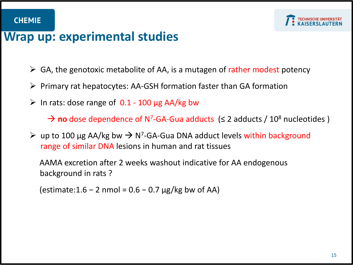

## **Wrap up: experimental studies**

- $\triangleright$  GA, the genotoxic metabolite of AA, is a mutagen of rather modest potency
- $\triangleright$  Primary rat hepatocytes: AA-GSH formation faster than GA formation
- $\triangleright$  In rats: dose range of 0.1 100 µg AA/kg bw

**→ no** dose dependence of N<sup>7</sup>-GA-Gua adducts (≤ 2 adducts / 10<sup>8</sup> nucleotides )

 $\triangleright$  up to 100 µg AA/kg bw  $\rightarrow$  N<sup>7</sup>-GA-Gua DNA adduct levels within background range of similar DNA lesions in human and rat tissues

 AAMA excretion after 2 weeks washout indicative for AA endogenous background in rats ?

(estimate:1.6 − 2 nmol =  $0.6 - 0.7$  µg/kg bw of AA)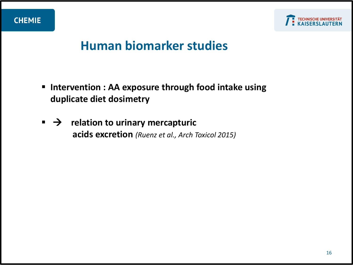

## **Human biomarker studies**

- **Intervention : AA exposure through food intake using duplicate diet dosimetry**
- $\blacktriangleright$  **relation to urinary mercapturic acids excretion** *(Ruenz et al., Arch Toxicol 2015)*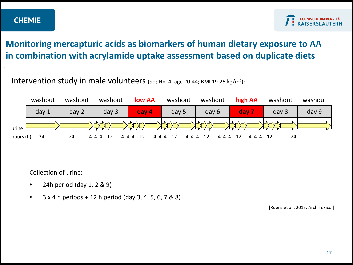*.*

#### **Monitoring mercapturic acids as biomarkers of human dietary exposure to AA in combination with acrylamide uptake assessment based on duplicate diets**

#### Intervention study in male volunteers (9d;  $N=14$ ; age 20-44; BMI 19-25 kg/m<sup>2</sup>):



Collection of urine:

- 24h period (day  $1, 2 \& 9$ )
- $3 \times 4$  h periods + 12 h period (day 3, 4, 5, 6, 7 & 8)

[Ruenz et al., 2015, Arch Toxicol]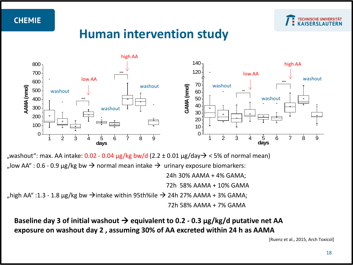

## **Human intervention study**



"washout": max. AA intake:  $0.02 - 0.04 \mu g/kg$  bw/d (2.2 ± 0.01  $\mu g/day$ ) < 5% of normal mean) "low AA" : 0.6 - 0.9  $\mu$ g/kg bw  $\rightarrow$  normal mean intake  $\rightarrow$  urinary exposure biomarkers: 24h 30% AAMA + 4% GAMA; 72h 58% AAMA + 10% GAMA  $\mu$ high AA" :1.3 - 1.8 μg/kg bw  $\rightarrow$ intake within 95th%ile  $\rightarrow$  24h 27% AAMA + 3% GAMA; 72h 58% AAMA + 7% GAMA

**Baseline day 3 of initial washout equivalent to 0.2 - 0.3 µg/kg/d putative net AA exposure on washout day 2 , assuming 30% of AA excreted within 24 h as AAMA**

[Ruenz et al., 2015, Arch Toxicol]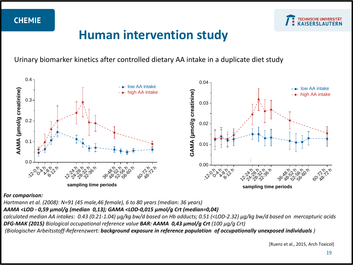

## **Human intervention study**

Urinary biomarker kinetics after controlled dietary AA intake in a duplicate diet study



*For comparison:*

*Hartmann et al. (2008): N=91 (45 male,46 female), 6 to 80 years (median: 36 years)*

*AAMA <LOD - 0,59 µmol/g (median 0,13); GAMA <LOD-0,015 µmol/g Crt (median=0,04)*

*calculated median AA intakes: 0.43 (0.21-1.04) μg/kg bw/d based on Hb adducts; 0.51 (<LOD-2.32) μg/kg bw/d based on mercapturic acids DFG-MAK (2015) Biological occupational reference value BAR: AAMA 0,43 µmol/g Crt (100 µg/g Crt)*

*(Biologischer Arbeitsstoff-Referenzwert: background exposure in reference population of occupationally unexposed individuals )*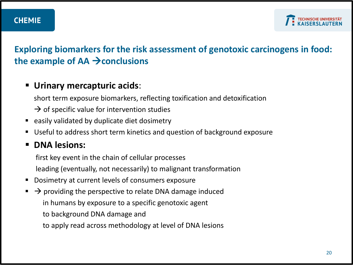#### **Exploring biomarkers for the risk assessment of genotoxic carcinogens in food: the example of AA conclusions**

#### **Urinary mercapturic acids**:

short term exposure biomarkers, reflecting toxification and detoxification

- $\rightarrow$  of specific value for intervention studies
- easily validated by duplicate diet dosimetry
- Useful to address short term kinetics and question of background exposure

#### **P** DNA lesions:

first key event in the chain of cellular processes

leading (eventually, not necessarily) to malignant transformation

- **Dosimetry at current levels of consumers exposure**
- $\rightarrow$  providing the perspective to relate DNA damage induced in humans by exposure to a specific genotoxic agent
	- to background DNA damage and
	- to apply read across methodology at level of DNA lesions